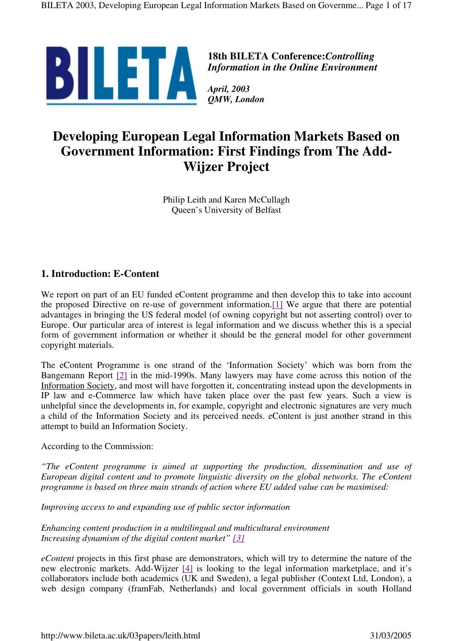

**18th BILETA Conference:***Controlling Information in the Online Environment*

*QMW, London*

# **Developing European Legal Information Markets Based on Government Information: First Findings from The Add-Wijzer Project**

Philip Leith and Karen McCullagh Queen's University of Belfast

# **1. Introduction: E-Content**

We report on part of an EU funded eContent programme and then develop this to take into account the proposed Directive on re-use of government information.[1] We argue that there are potential advantages in bringing the US federal model (of owning copyright but not asserting control) over to Europe. Our particular area of interest is legal information and we discuss whether this is a special form of government information or whether it should be the general model for other government copyright materials.

The eContent Programme is one strand of the 'Information Society' which was born from the Bangemann Report [2] in the mid-1990s. Many lawyers may have come across this notion of the Information Society, and most will have forgotten it, concentrating instead upon the developments in IP law and e-Commerce law which have taken place over the past few years. Such a view is unhelpful since the developments in, for example, copyright and electronic signatures are very much a child of the Information Society and its perceived needs. eContent is just another strand in this attempt to build an Information Society.

According to the Commission:

*"The eContent programme is aimed at supporting the production, dissemination and use of European digital content and to promote linguistic diversity on the global networks. The eContent programme is based on three main strands of action where EU added value can be maximised:*

*Improving access to and expanding use of public sector information* 

*Enhancing content production in a multilingual and multicultural environment Increasing dynamism of the digital content market" [3]*

*eContent* projects in this first phase are demonstrators, which will try to determine the nature of the new electronic markets. Add-Wijzer [4] is looking to the legal information marketplace, and it's collaborators include both academics (UK and Sweden), a legal publisher (Context Ltd, London), a web design company (framFab, Netherlands) and local government officials in south Holland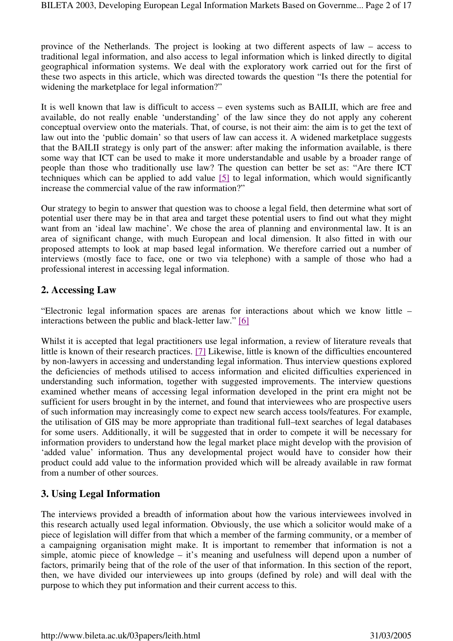province of the Netherlands. The project is looking at two different aspects of law – access to traditional legal information, and also access to legal information which is linked directly to digital geographical information systems. We deal with the exploratory work carried out for the first of these two aspects in this article, which was directed towards the question "Is there the potential for widening the marketplace for legal information?"

It is well known that law is difficult to access – even systems such as BAILII, which are free and available, do not really enable 'understanding' of the law since they do not apply any coherent conceptual overview onto the materials. That, of course, is not their aim: the aim is to get the text of law out into the 'public domain' so that users of law can access it. A widened marketplace suggests that the BAILII strategy is only part of the answer: after making the information available, is there some way that ICT can be used to make it more understandable and usable by a broader range of people than those who traditionally use law? The question can better be set as: "Are there ICT techniques which can be applied to add value [5] to legal information, which would significantly increase the commercial value of the raw information?"

Our strategy to begin to answer that question was to choose a legal field, then determine what sort of potential user there may be in that area and target these potential users to find out what they might want from an 'ideal law machine'. We chose the area of planning and environmental law. It is an area of significant change, with much European and local dimension. It also fitted in with our proposed attempts to look at map based legal information. We therefore carried out a number of interviews (mostly face to face, one or two via telephone) with a sample of those who had a professional interest in accessing legal information.

# **2. Accessing Law**

"Electronic legal information spaces are arenas for interactions about which we know little – interactions between the public and black-letter law." [6]

Whilst it is accepted that legal practitioners use legal information, a review of literature reveals that little is known of their research practices. [7] Likewise, little is known of the difficulties encountered by non-lawyers in accessing and understanding legal information. Thus interview questions explored the deficiencies of methods utilised to access information and elicited difficulties experienced in understanding such information, together with suggested improvements. The interview questions examined whether means of accessing legal information developed in the print era might not be sufficient for users brought in by the internet, and found that interviewees who are prospective users of such information may increasingly come to expect new search access tools/features. For example, the utilisation of GIS may be more appropriate than traditional full–text searches of legal databases for some users. Additionally, it will be suggested that in order to compete it will be necessary for information providers to understand how the legal market place might develop with the provision of 'added value' information. Thus any developmental project would have to consider how their product could add value to the information provided which will be already available in raw format from a number of other sources.

# **3. Using Legal Information**

The interviews provided a breadth of information about how the various interviewees involved in this research actually used legal information. Obviously, the use which a solicitor would make of a piece of legislation will differ from that which a member of the farming community, or a member of a campaigning organisation might make. It is important to remember that information is not a simple, atomic piece of knowledge – it's meaning and usefulness will depend upon a number of factors, primarily being that of the role of the user of that information. In this section of the report, then, we have divided our interviewees up into groups (defined by role) and will deal with the purpose to which they put information and their current access to this.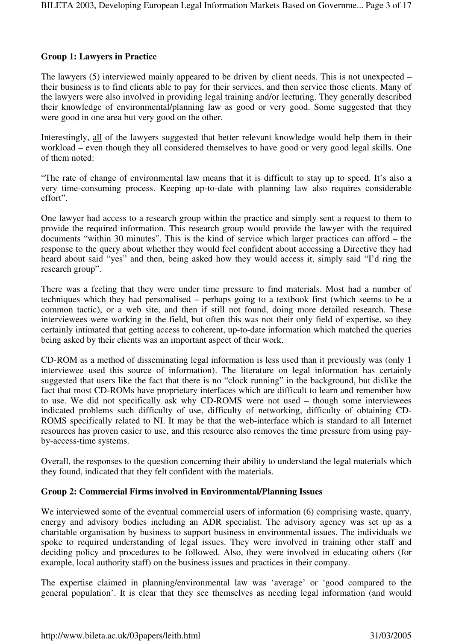#### **Group 1: Lawyers in Practice**

The lawyers (5) interviewed mainly appeared to be driven by client needs. This is not unexpected – their business is to find clients able to pay for their services, and then service those clients. Many of the lawyers were also involved in providing legal training and/or lecturing. They generally described their knowledge of environmental/planning law as good or very good. Some suggested that they were good in one area but very good on the other.

Interestingly, all of the lawyers suggested that better relevant knowledge would help them in their workload – even though they all considered themselves to have good or very good legal skills. One of them noted:

"The rate of change of environmental law means that it is difficult to stay up to speed. It's also a very time-consuming process. Keeping up-to-date with planning law also requires considerable effort".

One lawyer had access to a research group within the practice and simply sent a request to them to provide the required information. This research group would provide the lawyer with the required documents "within 30 minutes". This is the kind of service which larger practices can afford – the response to the query about whether they would feel confident about accessing a Directive they had heard about said "yes" and then, being asked how they would access it, simply said "I'd ring the research group".

There was a feeling that they were under time pressure to find materials. Most had a number of techniques which they had personalised – perhaps going to a textbook first (which seems to be a common tactic), or a web site, and then if still not found, doing more detailed research. These interviewees were working in the field, but often this was not their only field of expertise, so they certainly intimated that getting access to coherent, up-to-date information which matched the queries being asked by their clients was an important aspect of their work.

CD-ROM as a method of disseminating legal information is less used than it previously was (only 1 interviewee used this source of information). The literature on legal information has certainly suggested that users like the fact that there is no "clock running" in the background, but dislike the fact that most CD-ROMs have proprietary interfaces which are difficult to learn and remember how to use. We did not specifically ask why CD-ROMS were not used – though some interviewees indicated problems such difficulty of use, difficulty of networking, difficulty of obtaining CD-ROMS specifically related to NI. It may be that the web-interface which is standard to all Internet resources has proven easier to use, and this resource also removes the time pressure from using payby-access-time systems.

Overall, the responses to the question concerning their ability to understand the legal materials which they found, indicated that they felt confident with the materials.

#### **Group 2: Commercial Firms involved in Environmental/Planning Issues**

We interviewed some of the eventual commercial users of information (6) comprising waste, quarry, energy and advisory bodies including an ADR specialist. The advisory agency was set up as a charitable organisation by business to support business in environmental issues. The individuals we spoke to required understanding of legal issues. They were involved in training other staff and deciding policy and procedures to be followed. Also, they were involved in educating others (for example, local authority staff) on the business issues and practices in their company.

The expertise claimed in planning/environmental law was 'average' or 'good compared to the general population'. It is clear that they see themselves as needing legal information (and would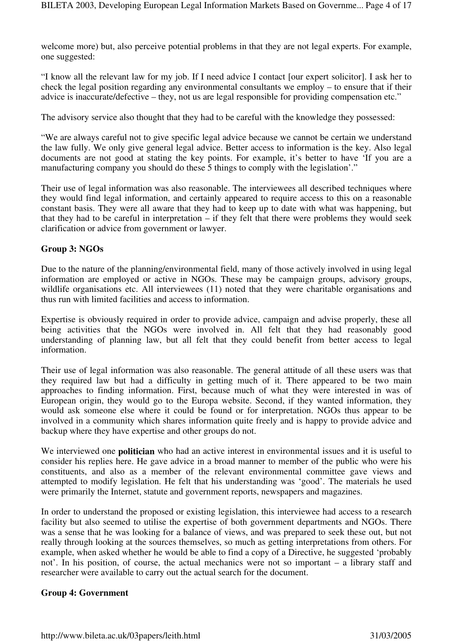welcome more) but, also perceive potential problems in that they are not legal experts. For example, one suggested:

"I know all the relevant law for my job. If I need advice I contact [our expert solicitor]. I ask her to check the legal position regarding any environmental consultants we employ – to ensure that if their advice is inaccurate/defective – they, not us are legal responsible for providing compensation etc."

The advisory service also thought that they had to be careful with the knowledge they possessed:

"We are always careful not to give specific legal advice because we cannot be certain we understand the law fully. We only give general legal advice. Better access to information is the key. Also legal documents are not good at stating the key points. For example, it's better to have 'If you are a manufacturing company you should do these 5 things to comply with the legislation'."

Their use of legal information was also reasonable. The interviewees all described techniques where they would find legal information, and certainly appeared to require access to this on a reasonable constant basis. They were all aware that they had to keep up to date with what was happening, but that they had to be careful in interpretation – if they felt that there were problems they would seek clarification or advice from government or lawyer.

#### **Group 3: NGOs**

Due to the nature of the planning/environmental field, many of those actively involved in using legal information are employed or active in NGOs. These may be campaign groups, advisory groups, wildlife organisations etc. All interviewees (11) noted that they were charitable organisations and thus run with limited facilities and access to information.

Expertise is obviously required in order to provide advice, campaign and advise properly, these all being activities that the NGOs were involved in. All felt that they had reasonably good understanding of planning law, but all felt that they could benefit from better access to legal information.

Their use of legal information was also reasonable. The general attitude of all these users was that they required law but had a difficulty in getting much of it. There appeared to be two main approaches to finding information. First, because much of what they were interested in was of European origin, they would go to the Europa website. Second, if they wanted information, they would ask someone else where it could be found or for interpretation. NGOs thus appear to be involved in a community which shares information quite freely and is happy to provide advice and backup where they have expertise and other groups do not.

We interviewed one **politician** who had an active interest in environmental issues and it is useful to consider his replies here. He gave advice in a broad manner to member of the public who were his constituents, and also as a member of the relevant environmental committee gave views and attempted to modify legislation. He felt that his understanding was 'good'. The materials he used were primarily the Internet, statute and government reports, newspapers and magazines.

In order to understand the proposed or existing legislation, this interviewee had access to a research facility but also seemed to utilise the expertise of both government departments and NGOs. There was a sense that he was looking for a balance of views, and was prepared to seek these out, but not really through looking at the sources themselves, so much as getting interpretations from others. For example, when asked whether he would be able to find a copy of a Directive, he suggested 'probably not'. In his position, of course, the actual mechanics were not so important – a library staff and researcher were available to carry out the actual search for the document.

#### **Group 4: Government**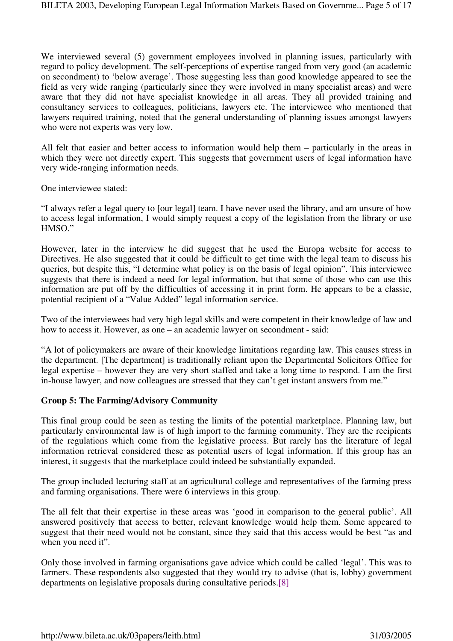We interviewed several (5) government employees involved in planning issues, particularly with regard to policy development. The self-perceptions of expertise ranged from very good (an academic on secondment) to 'below average'. Those suggesting less than good knowledge appeared to see the field as very wide ranging (particularly since they were involved in many specialist areas) and were aware that they did not have specialist knowledge in all areas. They all provided training and consultancy services to colleagues, politicians, lawyers etc. The interviewee who mentioned that lawyers required training, noted that the general understanding of planning issues amongst lawyers who were not experts was very low.

All felt that easier and better access to information would help them – particularly in the areas in which they were not directly expert. This suggests that government users of legal information have very wide-ranging information needs.

One interviewee stated:

"I always refer a legal query to [our legal] team. I have never used the library, and am unsure of how to access legal information, I would simply request a copy of the legislation from the library or use HMSO."

However, later in the interview he did suggest that he used the Europa website for access to Directives. He also suggested that it could be difficult to get time with the legal team to discuss his queries, but despite this, "I determine what policy is on the basis of legal opinion". This interviewee suggests that there is indeed a need for legal information, but that some of those who can use this information are put off by the difficulties of accessing it in print form. He appears to be a classic, potential recipient of a "Value Added" legal information service.

Two of the interviewees had very high legal skills and were competent in their knowledge of law and how to access it. However, as one – an academic lawyer on secondment - said:

"A lot of policymakers are aware of their knowledge limitations regarding law. This causes stress in the department. [The department] is traditionally reliant upon the Departmental Solicitors Office for legal expertise – however they are very short staffed and take a long time to respond. I am the first in-house lawyer, and now colleagues are stressed that they can't get instant answers from me."

#### **Group 5: The Farming/Advisory Community**

This final group could be seen as testing the limits of the potential marketplace. Planning law, but particularly environmental law is of high import to the farming community. They are the recipients of the regulations which come from the legislative process. But rarely has the literature of legal information retrieval considered these as potential users of legal information. If this group has an interest, it suggests that the marketplace could indeed be substantially expanded.

The group included lecturing staff at an agricultural college and representatives of the farming press and farming organisations. There were 6 interviews in this group.

The all felt that their expertise in these areas was 'good in comparison to the general public'. All answered positively that access to better, relevant knowledge would help them. Some appeared to suggest that their need would not be constant, since they said that this access would be best "as and when you need it".

Only those involved in farming organisations gave advice which could be called 'legal'. This was to farmers. These respondents also suggested that they would try to advise (that is, lobby) government departments on legislative proposals during consultative periods.[8]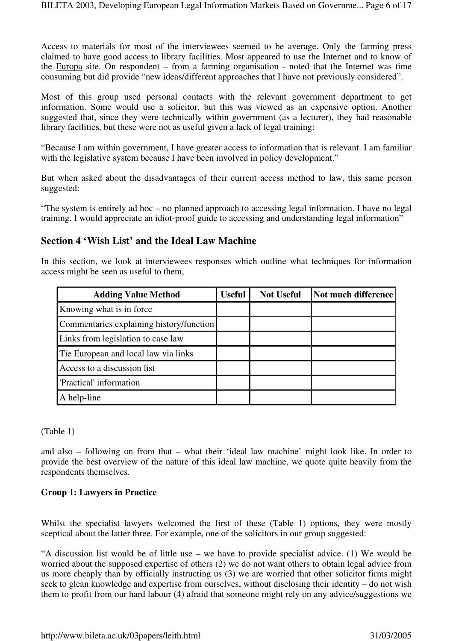Access to materials for most of the interviewees seemed to be average. Only the farming press claimed to have good access to library facilities. Most appeared to use the Internet and to know of the Europa site. On respondent – from a farming organisation - noted that the Internet was time consuming but did provide "new ideas/different approaches that I have not previously considered".

Most of this group used personal contacts with the relevant government department to get information. Some would use a solicitor, but this was viewed as an expensive option. Another suggested that, since they were technically within government (as a lecturer), they had reasonable library facilities, but these were not as useful given a lack of legal training:

"Because I am within government, I have greater access to information that is relevant. I am familiar with the legislative system because I have been involved in policy development."

But when asked about the disadvantages of their current access method to law, this same person suggested:

"The system is entirely ad hoc – no planned approach to accessing legal information. I have no legal training. I would appreciate an idiot-proof guide to accessing and understanding legal information"

# **Section 4 'Wish List' and the Ideal Law Machine**

In this section, we look at interviewees responses which outline what techniques for information access might be seen as useful to them,

| <b>Adding Value Method</b>               | <b>Useful</b> | <b>Not Useful</b> | Not much difference |
|------------------------------------------|---------------|-------------------|---------------------|
| Knowing what is in force.                |               |                   |                     |
| Commentaries explaining history/function |               |                   |                     |
| Links from legislation to case law       |               |                   |                     |
| Tie European and local law via links     |               |                   |                     |
| Access to a discussion list              |               |                   |                     |
| 'Practical' information                  |               |                   |                     |
| A help-line                              |               |                   |                     |

(Table 1)

and also – following on from that – what their 'ideal law machine' might look like. In order to provide the best overview of the nature of this ideal law machine, we quote quite heavily from the respondents themselves.

# **Group 1: Lawyers in Practice**

Whilst the specialist lawyers welcomed the first of these (Table 1) options, they were mostly sceptical about the latter three. For example, one of the solicitors in our group suggested:

"A discussion list would be of little use – we have to provide specialist advice. (1) We would be worried about the supposed expertise of others (2) we do not want others to obtain legal advice from us more cheaply than by officially instructing us (3) we are worried that other solicitor firms might seek to glean knowledge and expertise from ourselves, without disclosing their identity – do not wish them to profit from our hard labour (4) afraid that someone might rely on any advice/suggestions we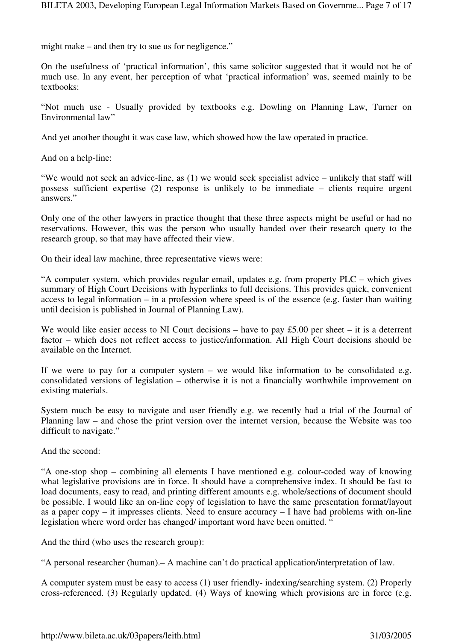might make – and then try to sue us for negligence."

On the usefulness of 'practical information', this same solicitor suggested that it would not be of much use. In any event, her perception of what 'practical information' was, seemed mainly to be textbooks:

"Not much use - Usually provided by textbooks e.g. Dowling on Planning Law, Turner on Environmental law"

And yet another thought it was case law, which showed how the law operated in practice.

And on a help-line:

"We would not seek an advice-line, as (1) we would seek specialist advice – unlikely that staff will possess sufficient expertise (2) response is unlikely to be immediate – clients require urgent answers."

Only one of the other lawyers in practice thought that these three aspects might be useful or had no reservations. However, this was the person who usually handed over their research query to the research group, so that may have affected their view.

On their ideal law machine, three representative views were:

"A computer system, which provides regular email, updates e.g. from property PLC – which gives summary of High Court Decisions with hyperlinks to full decisions. This provides quick, convenient access to legal information – in a profession where speed is of the essence (e.g. faster than waiting until decision is published in Journal of Planning Law).

We would like easier access to NI Court decisions – have to pay £5.00 per sheet – it is a deterrent factor – which does not reflect access to justice/information. All High Court decisions should be available on the Internet.

If we were to pay for a computer system – we would like information to be consolidated e.g. consolidated versions of legislation – otherwise it is not a financially worthwhile improvement on existing materials.

System much be easy to navigate and user friendly e.g. we recently had a trial of the Journal of Planning law – and chose the print version over the internet version, because the Website was too difficult to navigate."

And the second:

"A one-stop shop – combining all elements I have mentioned e.g. colour-coded way of knowing what legislative provisions are in force. It should have a comprehensive index. It should be fast to load documents, easy to read, and printing different amounts e.g. whole/sections of document should be possible. I would like an on-line copy of legislation to have the same presentation format/layout as a paper copy – it impresses clients. Need to ensure accuracy – I have had problems with on-line legislation where word order has changed/ important word have been omitted. "

And the third (who uses the research group):

"A personal researcher (human).– A machine can't do practical application/interpretation of law.

A computer system must be easy to access (1) user friendly- indexing/searching system. (2) Properly cross-referenced. (3) Regularly updated. (4) Ways of knowing which provisions are in force (e.g.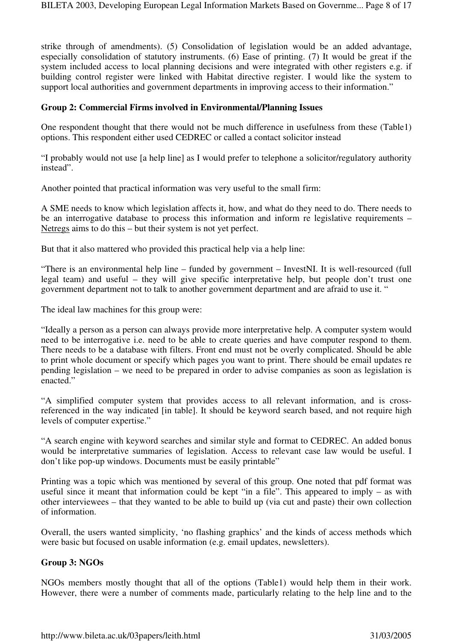strike through of amendments). (5) Consolidation of legislation would be an added advantage, especially consolidation of statutory instruments. (6) Ease of printing. (7) It would be great if the system included access to local planning decisions and were integrated with other registers e.g. if building control register were linked with Habitat directive register. I would like the system to support local authorities and government departments in improving access to their information."

#### **Group 2: Commercial Firms involved in Environmental/Planning Issues**

One respondent thought that there would not be much difference in usefulness from these (Table1) options. This respondent either used CEDREC or called a contact solicitor instead

"I probably would not use [a help line] as I would prefer to telephone a solicitor/regulatory authority instead".

Another pointed that practical information was very useful to the small firm:

A SME needs to know which legislation affects it, how, and what do they need to do. There needs to be an interrogative database to process this information and inform re legislative requirements – Netregs aims to do this – but their system is not yet perfect.

But that it also mattered who provided this practical help via a help line:

"There is an environmental help line – funded by government – InvestNI. It is well-resourced (full legal team) and useful – they will give specific interpretative help, but people don't trust one government department not to talk to another government department and are afraid to use it. "

The ideal law machines for this group were:

"Ideally a person as a person can always provide more interpretative help. A computer system would need to be interrogative i.e. need to be able to create queries and have computer respond to them. There needs to be a database with filters. Front end must not be overly complicated. Should be able to print whole document or specify which pages you want to print. There should be email updates re pending legislation – we need to be prepared in order to advise companies as soon as legislation is enacted."

"A simplified computer system that provides access to all relevant information, and is crossreferenced in the way indicated [in table]. It should be keyword search based, and not require high levels of computer expertise."

"A search engine with keyword searches and similar style and format to CEDREC. An added bonus would be interpretative summaries of legislation. Access to relevant case law would be useful. I don't like pop-up windows. Documents must be easily printable"

Printing was a topic which was mentioned by several of this group. One noted that pdf format was useful since it meant that information could be kept "in a file". This appeared to imply – as with other interviewees – that they wanted to be able to build up (via cut and paste) their own collection of information.

Overall, the users wanted simplicity, 'no flashing graphics' and the kinds of access methods which were basic but focused on usable information (e.g. email updates, newsletters).

# **Group 3: NGOs**

NGOs members mostly thought that all of the options (Table1) would help them in their work. However, there were a number of comments made, particularly relating to the help line and to the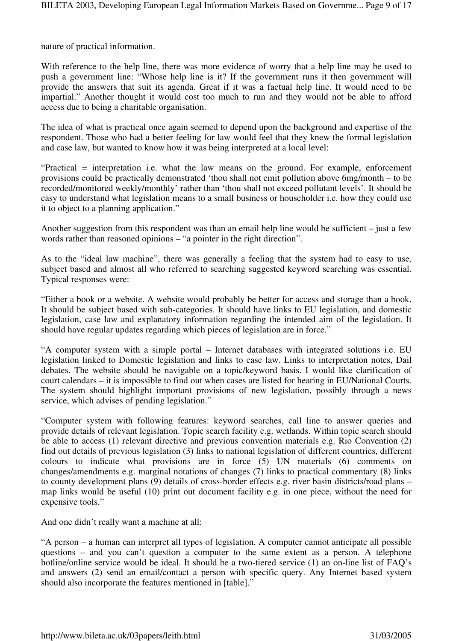nature of practical information.

With reference to the help line, there was more evidence of worry that a help line may be used to push a government line: "Whose help line is it? If the government runs it then government will provide the answers that suit its agenda. Great if it was a factual help line. It would need to be impartial." Another thought it would cost too much to run and they would not be able to afford access due to being a charitable organisation.

The idea of what is practical once again seemed to depend upon the background and expertise of the respondent. Those who had a better feeling for law would feel that they knew the formal legislation and case law, but wanted to know how it was being interpreted at a local level:

"Practical = interpretation i.e. what the law means on the ground. For example, enforcement provisions could be practically demonstrated 'thou shall not emit pollution above 6mg/month – to be recorded/monitored weekly/monthly' rather than 'thou shall not exceed pollutant levels'. It should be easy to understand what legislation means to a small business or householder i.e. how they could use it to object to a planning application."

Another suggestion from this respondent was than an email help line would be sufficient – just a few words rather than reasoned opinions – "a pointer in the right direction".

As to the "ideal law machine", there was generally a feeling that the system had to easy to use, subject based and almost all who referred to searching suggested keyword searching was essential. Typical responses were:

"Either a book or a website. A website would probably be better for access and storage than a book. It should be subject based with sub-categories. It should have links to EU legislation, and domestic legislation, case law and explanatory information regarding the intended aim of the legislation. It should have regular updates regarding which pieces of legislation are in force."

"A computer system with a simple portal – Internet databases with integrated solutions i.e. EU legislation linked to Domestic legislation and links to case law. Links to interpretation notes, Dail debates. The website should be navigable on a topic/keyword basis. I would like clarification of court calendars – it is impossible to find out when cases are listed for hearing in EU/National Courts. The system should highlight important provisions of new legislation, possibly through a news service, which advises of pending legislation."

"Computer system with following features: keyword searches, call line to answer queries and provide details of relevant legislation. Topic search facility e.g. wetlands. Within topic search should be able to access (1) relevant directive and previous convention materials e.g. Rio Convention (2) find out details of previous legislation (3) links to national legislation of different countries, different colours to indicate what provisions are in force (5) UN materials (6) comments on changes/amendments e.g. marginal notations of changes (7) links to practical commentary (8) links to county development plans (9) details of cross-border effects e.g. river basin districts/road plans – map links would be useful (10) print out document facility e.g. in one piece, without the need for expensive tools."

And one didn't really want a machine at all:

"A person – a human can interpret all types of legislation. A computer cannot anticipate all possible questions – and you can't question a computer to the same extent as a person. A telephone hotline/online service would be ideal. It should be a two-tiered service (1) an on-line list of FAQ's and answers (2) send an email/contact a person with specific query. Any Internet based system should also incorporate the features mentioned in [table]."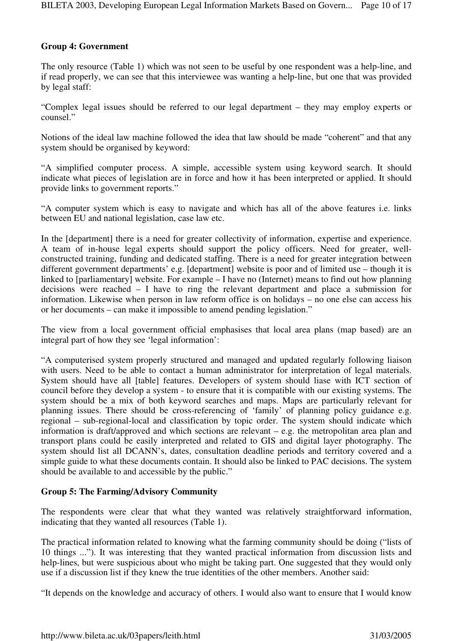#### **Group 4: Government**

The only resource (Table 1) which was not seen to be useful by one respondent was a help-line, and if read properly, we can see that this interviewee was wanting a help-line, but one that was provided by legal staff:

"Complex legal issues should be referred to our legal department – they may employ experts or counsel."

Notions of the ideal law machine followed the idea that law should be made "coherent" and that any system should be organised by keyword:

"A simplified computer process. A simple, accessible system using keyword search. It should indicate what pieces of legislation are in force and how it has been interpreted or applied. It should provide links to government reports."

"A computer system which is easy to navigate and which has all of the above features i.e. links between EU and national legislation, case law etc.

In the [department] there is a need for greater collectivity of information, expertise and experience. A team of in-house legal experts should support the policy officers. Need for greater, wellconstructed training, funding and dedicated staffing. There is a need for greater integration between different government departments' e.g. [department] website is poor and of limited use – though it is linked to [parliamentary] website. For example – I have no (Internet) means to find out how planning decisions were reached – I have to ring the relevant department and place a submission for information. Likewise when person in law reform office is on holidays – no one else can access his or her documents – can make it impossible to amend pending legislation."

The view from a local government official emphasises that local area plans (map based) are an integral part of how they see 'legal information':

"A computerised system properly structured and managed and updated regularly following liaison with users. Need to be able to contact a human administrator for interpretation of legal materials. System should have all [table] features. Developers of system should liase with ICT section of council before they develop a system - to ensure that it is compatible with our existing systems. The system should be a mix of both keyword searches and maps. Maps are particularly relevant for planning issues. There should be cross-referencing of 'family' of planning policy guidance e.g. regional – sub-regional-local and classification by topic order. The system should indicate which information is draft/approved and which sections are relevant – e.g. the metropolitan area plan and transport plans could be easily interpreted and related to GIS and digital layer photography. The system should list all DCANN's, dates, consultation deadline periods and territory covered and a simple guide to what these documents contain. It should also be linked to PAC decisions. The system should be available to and accessible by the public."

#### **Group 5: The Farming/Advisory Community**

The respondents were clear that what they wanted was relatively straightforward information, indicating that they wanted all resources (Table 1).

The practical information related to knowing what the farming community should be doing ("lists of 10 things ..."). It was interesting that they wanted practical information from discussion lists and help-lines, but were suspicious about who might be taking part. One suggested that they would only use if a discussion list if they knew the true identities of the other members. Another said:

"It depends on the knowledge and accuracy of others. I would also want to ensure that I would know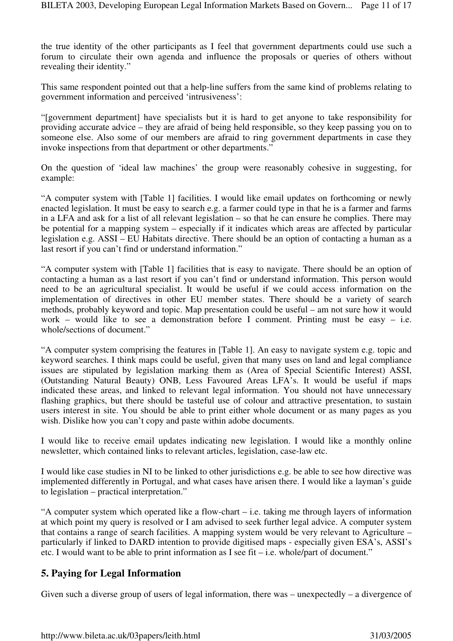the true identity of the other participants as I feel that government departments could use such a forum to circulate their own agenda and influence the proposals or queries of others without revealing their identity."

This same respondent pointed out that a help-line suffers from the same kind of problems relating to government information and perceived 'intrusiveness':

"[government department] have specialists but it is hard to get anyone to take responsibility for providing accurate advice – they are afraid of being held responsible, so they keep passing you on to someone else. Also some of our members are afraid to ring government departments in case they invoke inspections from that department or other departments."

On the question of 'ideal law machines' the group were reasonably cohesive in suggesting, for example:

"A computer system with [Table 1] facilities. I would like email updates on forthcoming or newly enacted legislation. It must be easy to search e.g. a farmer could type in that he is a farmer and farms in a LFA and ask for a list of all relevant legislation – so that he can ensure he complies. There may be potential for a mapping system – especially if it indicates which areas are affected by particular legislation e.g. ASSI – EU Habitats directive. There should be an option of contacting a human as a last resort if you can't find or understand information."

"A computer system with [Table 1] facilities that is easy to navigate. There should be an option of contacting a human as a last resort if you can't find or understand information. This person would need to be an agricultural specialist. It would be useful if we could access information on the implementation of directives in other EU member states. There should be a variety of search methods, probably keyword and topic. Map presentation could be useful – am not sure how it would work – would like to see a demonstration before I comment. Printing must be easy – i.e. whole/sections of document."

"A computer system comprising the features in [Table 1]. An easy to navigate system e.g. topic and keyword searches. I think maps could be useful, given that many uses on land and legal compliance issues are stipulated by legislation marking them as (Area of Special Scientific Interest) ASSI, (Outstanding Natural Beauty) ONB, Less Favoured Areas LFA's. It would be useful if maps indicated these areas, and linked to relevant legal information. You should not have unnecessary flashing graphics, but there should be tasteful use of colour and attractive presentation, to sustain users interest in site. You should be able to print either whole document or as many pages as you wish. Dislike how you can't copy and paste within adobe documents.

I would like to receive email updates indicating new legislation. I would like a monthly online newsletter, which contained links to relevant articles, legislation, case-law etc.

I would like case studies in NI to be linked to other jurisdictions e.g. be able to see how directive was implemented differently in Portugal, and what cases have arisen there. I would like a layman's guide to legislation – practical interpretation."

"A computer system which operated like a flow-chart – i.e. taking me through layers of information at which point my query is resolved or I am advised to seek further legal advice. A computer system that contains a range of search facilities. A mapping system would be very relevant to Agriculture – particularly if linked to DARD intention to provide digitised maps - especially given ESA's, ASSI's etc. I would want to be able to print information as I see fit – i.e. whole/part of document."

# **5. Paying for Legal Information**

Given such a diverse group of users of legal information, there was – unexpectedly – a divergence of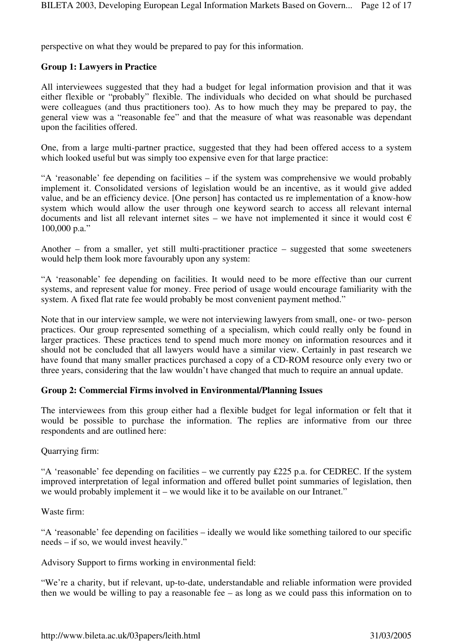perspective on what they would be prepared to pay for this information.

#### **Group 1: Lawyers in Practice**

All interviewees suggested that they had a budget for legal information provision and that it was either flexible or "probably" flexible. The individuals who decided on what should be purchased were colleagues (and thus practitioners too). As to how much they may be prepared to pay, the general view was a "reasonable fee" and that the measure of what was reasonable was dependant upon the facilities offered.

One, from a large multi-partner practice, suggested that they had been offered access to a system which looked useful but was simply too expensive even for that large practice:

"A 'reasonable' fee depending on facilities – if the system was comprehensive we would probably implement it. Consolidated versions of legislation would be an incentive, as it would give added value, and be an efficiency device. [One person] has contacted us re implementation of a know-how system which would allow the user through one keyword search to access all relevant internal documents and list all relevant internet sites – we have not implemented it since it would cost  $\epsilon$ 100,000 p.a."

Another – from a smaller, yet still multi-practitioner practice – suggested that some sweeteners would help them look more favourably upon any system:

"A 'reasonable' fee depending on facilities. It would need to be more effective than our current systems, and represent value for money. Free period of usage would encourage familiarity with the system. A fixed flat rate fee would probably be most convenient payment method."

Note that in our interview sample, we were not interviewing lawyers from small, one- or two- person practices. Our group represented something of a specialism, which could really only be found in larger practices. These practices tend to spend much more money on information resources and it should not be concluded that all lawyers would have a similar view. Certainly in past research we have found that many smaller practices purchased a copy of a CD-ROM resource only every two or three years, considering that the law wouldn't have changed that much to require an annual update.

#### **Group 2: Commercial Firms involved in Environmental/Planning Issues**

The interviewees from this group either had a flexible budget for legal information or felt that it would be possible to purchase the information. The replies are informative from our three respondents and are outlined here:

#### Quarrying firm:

"A 'reasonable' fee depending on facilities – we currently pay £225 p.a. for CEDREC. If the system improved interpretation of legal information and offered bullet point summaries of legislation, then we would probably implement it – we would like it to be available on our Intranet."

Waste firm:

"A 'reasonable' fee depending on facilities – ideally we would like something tailored to our specific needs – if so, we would invest heavily."

Advisory Support to firms working in environmental field:

"We're a charity, but if relevant, up-to-date, understandable and reliable information were provided then we would be willing to pay a reasonable fee – as long as we could pass this information on to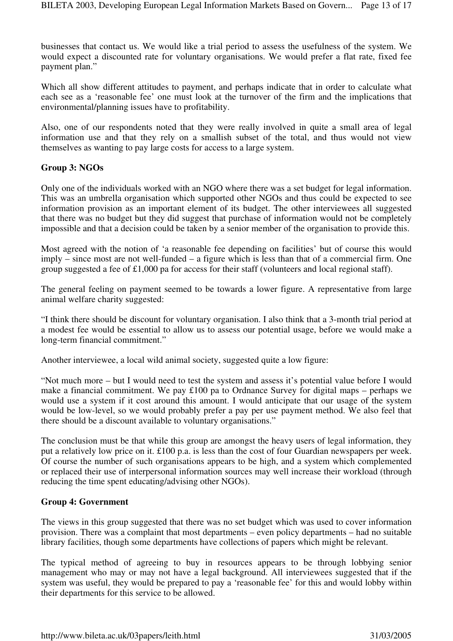businesses that contact us. We would like a trial period to assess the usefulness of the system. We would expect a discounted rate for voluntary organisations. We would prefer a flat rate, fixed fee payment plan."

Which all show different attitudes to payment, and perhaps indicate that in order to calculate what each see as a 'reasonable fee' one must look at the turnover of the firm and the implications that environmental/planning issues have to profitability.

Also, one of our respondents noted that they were really involved in quite a small area of legal information use and that they rely on a smallish subset of the total, and thus would not view themselves as wanting to pay large costs for access to a large system.

#### **Group 3: NGOs**

Only one of the individuals worked with an NGO where there was a set budget for legal information. This was an umbrella organisation which supported other NGOs and thus could be expected to see information provision as an important element of its budget. The other interviewees all suggested that there was no budget but they did suggest that purchase of information would not be completely impossible and that a decision could be taken by a senior member of the organisation to provide this.

Most agreed with the notion of 'a reasonable fee depending on facilities' but of course this would imply – since most are not well-funded – a figure which is less than that of a commercial firm. One group suggested a fee of £1,000 pa for access for their staff (volunteers and local regional staff).

The general feeling on payment seemed to be towards a lower figure. A representative from large animal welfare charity suggested:

"I think there should be discount for voluntary organisation. I also think that a 3-month trial period at a modest fee would be essential to allow us to assess our potential usage, before we would make a long-term financial commitment."

Another interviewee, a local wild animal society, suggested quite a low figure:

"Not much more – but I would need to test the system and assess it's potential value before I would make a financial commitment. We pay £100 pa to Ordnance Survey for digital maps – perhaps we would use a system if it cost around this amount. I would anticipate that our usage of the system would be low-level, so we would probably prefer a pay per use payment method. We also feel that there should be a discount available to voluntary organisations."

The conclusion must be that while this group are amongst the heavy users of legal information, they put a relatively low price on it. £100 p.a. is less than the cost of four Guardian newspapers per week. Of course the number of such organisations appears to be high, and a system which complemented or replaced their use of interpersonal information sources may well increase their workload (through reducing the time spent educating/advising other NGOs).

#### **Group 4: Government**

The views in this group suggested that there was no set budget which was used to cover information provision. There was a complaint that most departments – even policy departments – had no suitable library facilities, though some departments have collections of papers which might be relevant.

The typical method of agreeing to buy in resources appears to be through lobbying senior management who may or may not have a legal background. All interviewees suggested that if the system was useful, they would be prepared to pay a 'reasonable fee' for this and would lobby within their departments for this service to be allowed.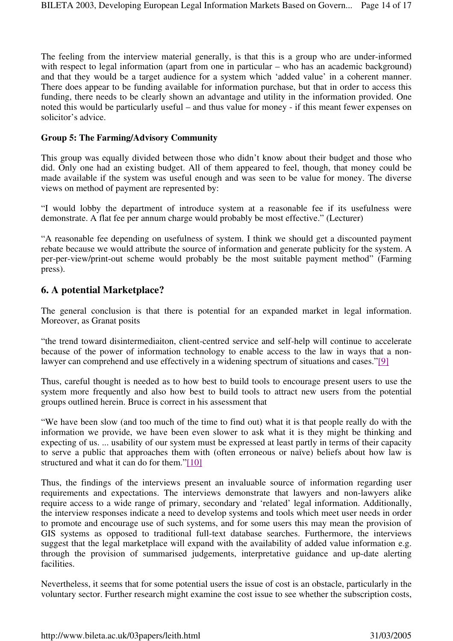The feeling from the interview material generally, is that this is a group who are under-informed with respect to legal information (apart from one in particular – who has an academic background) and that they would be a target audience for a system which 'added value' in a coherent manner. There does appear to be funding available for information purchase, but that in order to access this funding, there needs to be clearly shown an advantage and utility in the information provided. One noted this would be particularly useful – and thus value for money - if this meant fewer expenses on solicitor's advice.

# **Group 5: The Farming/Advisory Community**

This group was equally divided between those who didn't know about their budget and those who did. Only one had an existing budget. All of them appeared to feel, though, that money could be made available if the system was useful enough and was seen to be value for money. The diverse views on method of payment are represented by:

"I would lobby the department of introduce system at a reasonable fee if its usefulness were demonstrate. A flat fee per annum charge would probably be most effective." (Lecturer)

"A reasonable fee depending on usefulness of system. I think we should get a discounted payment rebate because we would attribute the source of information and generate publicity for the system. A per-per-view/print-out scheme would probably be the most suitable payment method" (Farming press).

# **6. A potential Marketplace?**

The general conclusion is that there is potential for an expanded market in legal information. Moreover, as Granat posits

"the trend toward disintermediaiton, client-centred service and self-help will continue to accelerate because of the power of information technology to enable access to the law in ways that a nonlawyer can comprehend and use effectively in a widening spectrum of situations and cases."[9]

Thus, careful thought is needed as to how best to build tools to encourage present users to use the system more frequently and also how best to build tools to attract new users from the potential groups outlined herein. Bruce is correct in his assessment that

"We have been slow (and too much of the time to find out) what it is that people really do with the information we provide, we have been even slower to ask what it is they might be thinking and expecting of us. ... usability of our system must be expressed at least partly in terms of their capacity to serve a public that approaches them with (often erroneous or naïve) beliefs about how law is structured and what it can do for them."[10]

Thus, the findings of the interviews present an invaluable source of information regarding user requirements and expectations. The interviews demonstrate that lawyers and non-lawyers alike require access to a wide range of primary, secondary and 'related' legal information. Additionally, the interview responses indicate a need to develop systems and tools which meet user needs in order to promote and encourage use of such systems, and for some users this may mean the provision of GIS systems as opposed to traditional full-text database searches. Furthermore, the interviews suggest that the legal marketplace will expand with the availability of added value information e.g. through the provision of summarised judgements, interpretative guidance and up-date alerting facilities.

Nevertheless, it seems that for some potential users the issue of cost is an obstacle, particularly in the voluntary sector. Further research might examine the cost issue to see whether the subscription costs,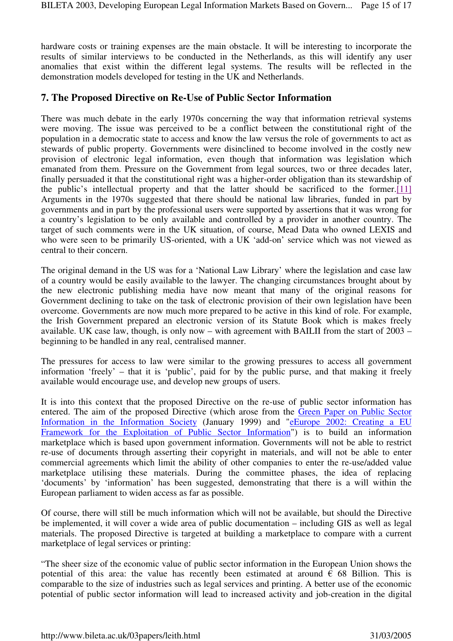hardware costs or training expenses are the main obstacle. It will be interesting to incorporate the results of similar interviews to be conducted in the Netherlands, as this will identify any user anomalies that exist within the different legal systems. The results will be reflected in the demonstration models developed for testing in the UK and Netherlands.

# **7. The Proposed Directive on Re-Use of Public Sector Information**

There was much debate in the early 1970s concerning the way that information retrieval systems were moving. The issue was perceived to be a conflict between the constitutional right of the population in a democratic state to access and know the law versus the role of governments to act as stewards of public property. Governments were disinclined to become involved in the costly new provision of electronic legal information, even though that information was legislation which emanated from them. Pressure on the Government from legal sources, two or three decades later, finally persuaded it that the constitutional right was a higher-order obligation than its stewardship of the public's intellectual property and that the latter should be sacrificed to the former.[11] Arguments in the 1970s suggested that there should be national law libraries, funded in part by governments and in part by the professional users were supported by assertions that it was wrong for a country's legislation to be only available and controlled by a provider in another country. The target of such comments were in the UK situation, of course, Mead Data who owned LEXIS and who were seen to be primarily US-oriented, with a UK 'add-on' service which was not viewed as central to their concern.

The original demand in the US was for a 'National Law Library' where the legislation and case law of a country would be easily available to the lawyer. The changing circumstances brought about by the new electronic publishing media have now meant that many of the original reasons for Government declining to take on the task of electronic provision of their own legislation have been overcome. Governments are now much more prepared to be active in this kind of role. For example, the Irish Government prepared an electronic version of its Statute Book which is makes freely available. UK case law, though, is only now – with agreement with BAILII from the start of 2003 – beginning to be handled in any real, centralised manner.

The pressures for access to law were similar to the growing pressures to access all government information 'freely' – that it is 'public', paid for by the public purse, and that making it freely available would encourage use, and develop new groups of users.

It is into this context that the proposed Directive on the re-use of public sector information has entered. The aim of the proposed Directive (which arose from the Green Paper on Public Sector Information in the Information Society (January 1999) and "eEurope 2002: Creating a EU Framework for the Exploitation of Public Sector Information") is to build an information marketplace which is based upon government information. Governments will not be able to restrict re-use of documents through asserting their copyright in materials, and will not be able to enter commercial agreements which limit the ability of other companies to enter the re-use/added value marketplace utilising these materials. During the committee phases, the idea of replacing 'documents' by 'information' has been suggested, demonstrating that there is a will within the European parliament to widen access as far as possible.

Of course, there will still be much information which will not be available, but should the Directive be implemented, it will cover a wide area of public documentation – including GIS as well as legal materials. The proposed Directive is targeted at building a marketplace to compare with a current marketplace of legal services or printing:

"The sheer size of the economic value of public sector information in the European Union shows the potential of this area: the value has recently been estimated at around  $\epsilon$  68 Billion. This is comparable to the size of industries such as legal services and printing. A better use of the economic potential of public sector information will lead to increased activity and job-creation in the digital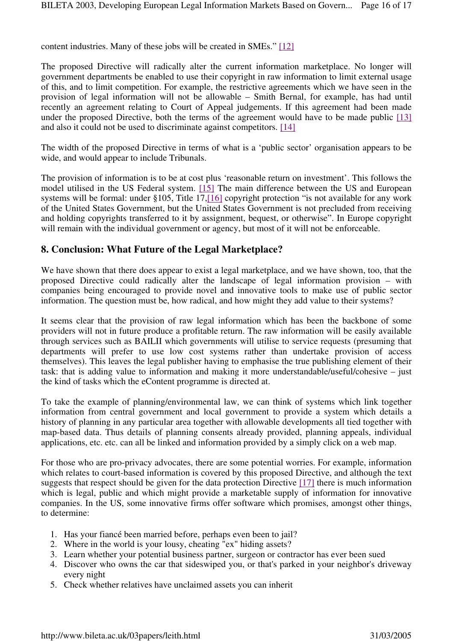content industries. Many of these jobs will be created in SMEs." [12]

The proposed Directive will radically alter the current information marketplace. No longer will government departments be enabled to use their copyright in raw information to limit external usage of this, and to limit competition. For example, the restrictive agreements which we have seen in the provision of legal information will not be allowable – Smith Bernal, for example, has had until recently an agreement relating to Court of Appeal judgements. If this agreement had been made under the proposed Directive, both the terms of the agreement would have to be made public [13] and also it could not be used to discriminate against competitors. [14]

The width of the proposed Directive in terms of what is a 'public sector' organisation appears to be wide, and would appear to include Tribunals.

The provision of information is to be at cost plus 'reasonable return on investment'. This follows the model utilised in the US Federal system. [15] The main difference between the US and European systems will be formal: under §105, Title 17,[16] copyright protection "is not available for any work of the United States Government, but the United States Government is not precluded from receiving and holding copyrights transferred to it by assignment, bequest, or otherwise". In Europe copyright will remain with the individual government or agency, but most of it will not be enforceable.

# **8. Conclusion: What Future of the Legal Marketplace?**

We have shown that there does appear to exist a legal marketplace, and we have shown, too, that the proposed Directive could radically alter the landscape of legal information provision – with companies being encouraged to provide novel and innovative tools to make use of public sector information. The question must be, how radical, and how might they add value to their systems?

It seems clear that the provision of raw legal information which has been the backbone of some providers will not in future produce a profitable return. The raw information will be easily available through services such as BAILII which governments will utilise to service requests (presuming that departments will prefer to use low cost systems rather than undertake provision of access themselves). This leaves the legal publisher having to emphasise the true publishing element of their task: that is adding value to information and making it more understandable/useful/cohesive – just the kind of tasks which the eContent programme is directed at.

To take the example of planning/environmental law, we can think of systems which link together information from central government and local government to provide a system which details a history of planning in any particular area together with allowable developments all tied together with map-based data. Thus details of planning consents already provided, planning appeals, individual applications, etc. etc. can all be linked and information provided by a simply click on a web map.

For those who are pro-privacy advocates, there are some potential worries. For example, information which relates to court-based information is covered by this proposed Directive, and although the text suggests that respect should be given for the data protection Directive [17] there is much information which is legal, public and which might provide a marketable supply of information for innovative companies. In the US, some innovative firms offer software which promises, amongst other things, to determine:

- 1. Has your fiancé been married before, perhaps even been to jail?
- 2. Where in the world is your lousy, cheating "ex" hiding assets?
- 3. Learn whether your potential business partner, surgeon or contractor has ever been sued
- 4. Discover who owns the car that sideswiped you, or that's parked in your neighbor's driveway every night
- 5. Check whether relatives have unclaimed assets you can inherit